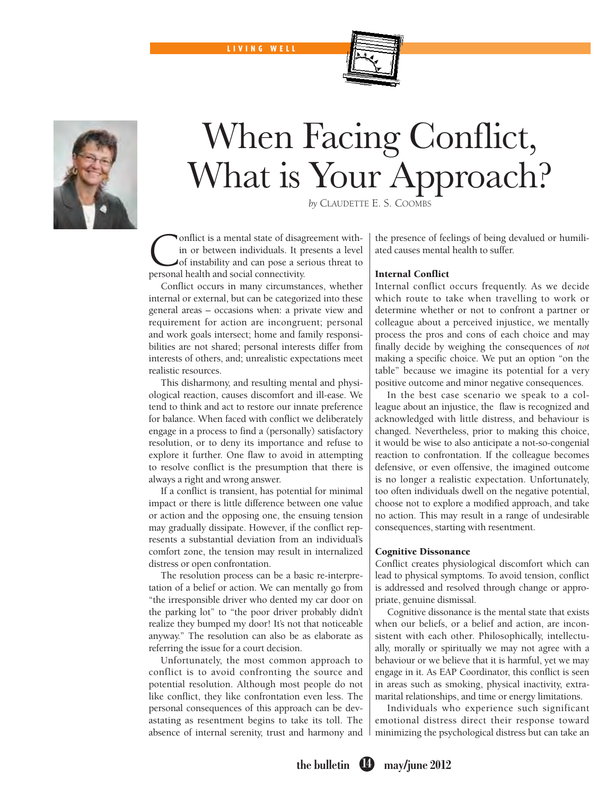LIVIN G WELL





# When Facing Conflict, What is Your Approach?

by CLAUDETTE E. S. COOMBS

onflict is a mental state of disagreement within or between individuals. It presents a level of instability and can pose a serious threat to personal health and social connectivity.

Conflict occurs in many circumstances, whether internal or external, but can be categorized into these general areas – occasions when: a private view and requirement for action are incongruent; personal and work goals intersect; home and family responsibilities are not shared; personal interests differ from interests of others, and; unrealistic expectations meet realistic resources.

This disharmony, and resulting mental and physiological reaction, causes discomfort and ill-ease. We tend to think and act to restore our innate preference for balance. When faced with conflict we deliberately engage in a process to find a (personally) satisfactory resolution, or to deny its importance and refuse to explore it further. One flaw to avoid in attempting to resolve conflict is the presumption that there is always a right and wrong answer.

If a conflict is transient, has potential for minimal impact or there is little difference between one value or action and the opposing one, the ensuing tension may gradually dissipate. However, if the conflict represents a substantial deviation from an individual's comfort zone, the tension may result in internalized distress or open confrontation.

The resolution process can be a basic re-interpretation of a belief or action. We can mentally go from "the irresponsible driver who dented my car door on the parking lot" to "the poor driver probably didn't realize they bumped my door! It's not that noticeable anyway." The resolution can also be as elaborate as referring the issue for a court decision.

Unfortunately, the most common approach to conflict is to avoid confronting the source and potential resolution. Although most people do not like conflict, they like confrontation even less. The personal consequences of this approach can be devastating as resentment begins to take its toll. The absence of internal serenity, trust and harmony and

the presence of feelings of being devalued or humiliated causes mental health to suffer.

## Internal Conflict

Internal conflict occurs frequently. As we decide which route to take when travelling to work or determine whether or not to confront a partner or colleague about a perceived injustice, we mentally process the pros and cons of each choice and may finally decide by weighing the consequences of *not* making a specific choice. We put an option "on the table" because we imagine its potential for a very positive outcome and minor negative consequences.

In the best case scenario we speak to a colleague about an injustice, the flaw is recognized and acknowledged with little distress, and behaviour is changed. Nevertheless, prior to making this choice, it would be wise to also anticipate a not-so-congenial reaction to confrontation. If the colleague becomes defensive, or even offensive, the imagined outcome is no longer a realistic expectation. Unfortunately, too often individuals dwell on the negative potential, choose not to explore a modified approach, and take no action. This may result in a range of undesirable consequences, starting with resentment.

## Cognitive Dissonance

Conflict creates physiological discomfort which can lead to physical symptoms. To avoid tension, conflict is addressed and resolved through change or appropriate, genuine dismissal.

Cognitive dissonance is the mental state that exists when our beliefs, or a belief and action, are inconsistent with each other. Philosophically, intellectually, morally or spiritually we may not agree with a behaviour or we believe that it is harmful, yet we may engage in it. As EAP Coordinator, this conflict is seen in areas such as smoking, physical inactivity, extramarital relationships, and time or energy limitations.

Individuals who experience such significant emotional distress direct their response toward minimizing the psychological distress but can take an